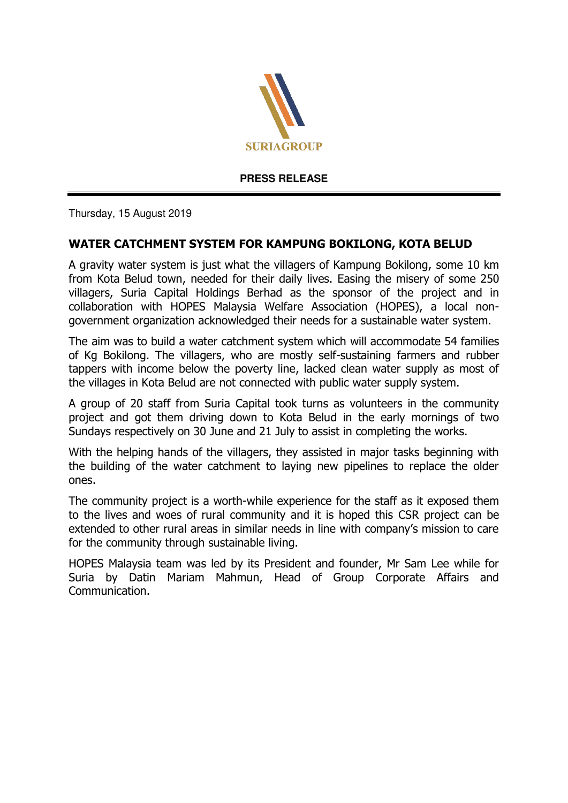

**PRESS RELEASE** 

Thursday, 15 August 2019

## **WATER CATCHMENT SYSTEM FOR KAMPUNG BOKILONG, KOTA BELUD**

A gravity water system is just what the villagers of Kampung Bokilong, some 10 km from Kota Belud town, needed for their daily lives. Easing the misery of some 250 villagers, Suria Capital Holdings Berhad as the sponsor of the project and in collaboration with HOPES Malaysia Welfare Association (HOPES), a local nongovernment organization acknowledged their needs for a sustainable water system.

The aim was to build a water catchment system which will accommodate 54 families of Kg Bokilong. The villagers, who are mostly self-sustaining farmers and rubber tappers with income below the poverty line, lacked clean water supply as most of the villages in Kota Belud are not connected with public water supply system.

A group of 20 staff from Suria Capital took turns as volunteers in the community project and got them driving down to Kota Belud in the early mornings of two Sundays respectively on 30 June and 21 July to assist in completing the works.

With the helping hands of the villagers, they assisted in major tasks beginning with the building of the water catchment to laying new pipelines to replace the older ones.

The community project is a worth-while experience for the staff as it exposed them to the lives and woes of rural community and it is hoped this CSR project can be extended to other rural areas in similar needs in line with company's mission to care for the community through sustainable living.

HOPES Malaysia team was led by its President and founder, Mr Sam Lee while for Suria by Datin Mariam Mahmun, Head of Group Corporate Affairs and Communication.